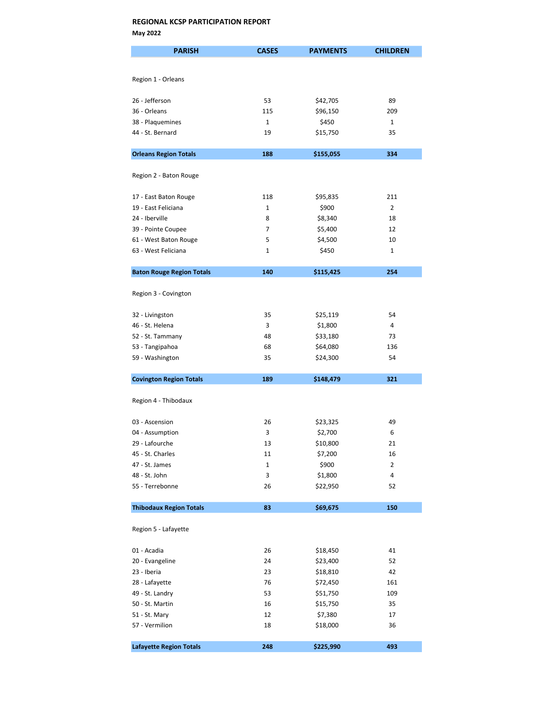| <b>PARISH</b>                      | <b>CASES</b> | <b>PAYMENTS</b>     | <b>CHILDREN</b> |
|------------------------------------|--------------|---------------------|-----------------|
|                                    |              |                     |                 |
| Region 1 - Orleans                 |              |                     |                 |
|                                    |              |                     |                 |
| 26 - Jefferson                     | 53           | \$42,705            | 89              |
| 36 - Orleans                       | 115          | \$96,150            | 209             |
| 38 - Plaquemines                   | 1            | \$450               | 1               |
| 44 - St. Bernard                   | 19           | \$15,750            | 35              |
|                                    |              |                     |                 |
| <b>Orleans Region Totals</b>       | 188          | \$155,055           | 334             |
| Region 2 - Baton Rouge             |              |                     |                 |
|                                    |              |                     |                 |
| 17 - East Baton Rouge              | 118          | \$95,835            | 211             |
| 19 - East Feliciana                | $\mathbf{1}$ | \$900               | 2               |
| 24 - Iberville                     | 8            | \$8,340             | 18              |
| 39 - Pointe Coupee                 | 7            | \$5,400             | 12              |
| 61 - West Baton Rouge              | 5            | \$4,500             | 10              |
| 63 - West Feliciana                | 1            | \$450               | 1               |
| <b>Baton Rouge Region Totals</b>   | 140          | \$115,425           | 254             |
|                                    |              |                     |                 |
| Region 3 - Covington               |              |                     |                 |
|                                    | 35           |                     | 54              |
| 32 - Livingston<br>46 - St. Helena | 3            | \$25,119<br>\$1,800 | 4               |
| 52 - St. Tammany                   | 48           | \$33,180            | 73              |
| 53 - Tangipahoa                    | 68           | \$64,080            | 136             |
| 59 - Washington                    | 35           | \$24,300            | 54              |
|                                    |              |                     |                 |
| <b>Covington Region Totals</b>     | 189          | \$148,479           | 321             |
|                                    |              |                     |                 |
| Region 4 - Thibodaux               |              |                     |                 |
|                                    |              |                     |                 |
| 03 - Ascension<br>04 - Assumption  | 26<br>3      | \$23,325<br>\$2,700 | 49<br>6         |
| 29 - Lafourche                     | 13           | \$10,800            | 21              |
| 45 - St. Charles                   | 11           | \$7,200             | 16              |
| 47 - St. James                     | 1            | \$900               | $\overline{2}$  |
| 48 - St. John                      | 3            | \$1,800             | 4               |
| 55 - Terrebonne                    | 26           | \$22,950            | 52              |
|                                    |              |                     |                 |
| <b>Thibodaux Region Totals</b>     | 83           | \$69,675            | 150             |
| Region 5 - Lafayette               |              |                     |                 |
|                                    |              |                     |                 |
| 01 - Acadia                        | 26           | \$18,450            | 41              |
| 20 - Evangeline                    | 24           | \$23,400            | 52              |
| 23 - Iberia                        | 23           | \$18,810            | 42              |
| 28 - Lafayette                     | 76           | \$72,450            | 161             |
| 49 - St. Landry                    | 53           | \$51,750            | 109             |
| 50 - St. Martin                    | 16           | \$15,750            | 35              |
| 51 - St. Mary                      | 12           | \$7,380             | 17              |
| 57 - Vermilion                     | 18           | \$18,000            | 36              |
| <b>Lafayette Region Totals</b>     | 248          | \$225,990           | 493             |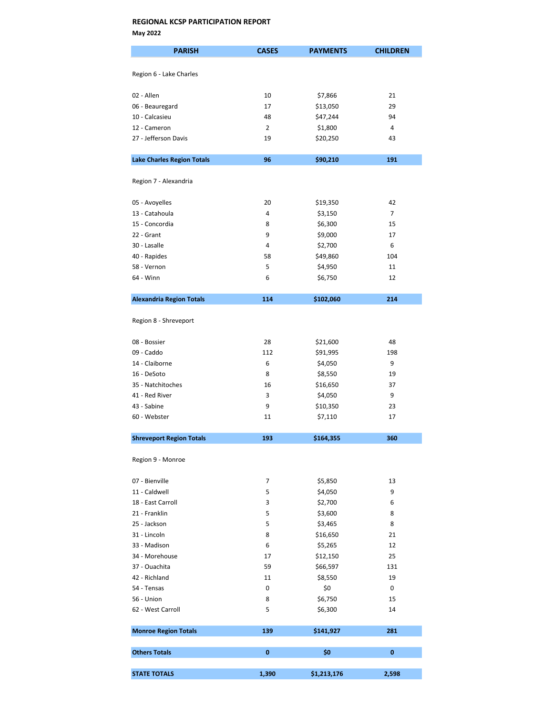| <b>PARISH</b>                     | <b>CASES</b>   | <b>PAYMENTS</b> | <b>CHILDREN</b> |
|-----------------------------------|----------------|-----------------|-----------------|
|                                   |                |                 |                 |
| Region 6 - Lake Charles           |                |                 |                 |
|                                   |                |                 |                 |
| 02 - Allen                        | 10             | \$7,866         | 21              |
| 06 - Beauregard                   | 17             | \$13,050        | 29              |
| 10 - Calcasieu                    | 48             | \$47,244        | 94              |
| 12 - Cameron                      | $\overline{2}$ | \$1,800         | 4               |
| 27 - Jefferson Davis              | 19             | \$20,250        | 43              |
|                                   |                |                 |                 |
| <b>Lake Charles Region Totals</b> | 96             | \$90,210        | 191             |
| Region 7 - Alexandria             |                |                 |                 |
|                                   |                |                 |                 |
| 05 - Avoyelles                    | 20             | \$19,350        | 42              |
| 13 - Catahoula                    | 4              | \$3,150         | $\overline{7}$  |
| 15 - Concordia                    | 8              | \$6,300         | 15              |
| 22 - Grant                        | 9              | \$9,000         | 17              |
| 30 - Lasalle                      | 4              | \$2,700         | 6               |
| 40 - Rapides                      | 58             | \$49,860        | 104             |
| 58 - Vernon                       | 5              | \$4,950         | 11              |
| 64 - Winn                         | 6              | \$6,750         | 12              |
| <b>Alexandria Region Totals</b>   | 114            | \$102,060       | 214             |
|                                   |                |                 |                 |
| Region 8 - Shreveport             |                |                 |                 |
| 08 - Bossier                      | 28             | \$21,600        | 48              |
| 09 - Caddo                        | 112            | \$91,995        | 198             |
| 14 - Claiborne                    | 6              | \$4,050         | 9               |
| 16 - DeSoto                       | 8              | \$8,550         | 19              |
| 35 - Natchitoches                 | 16             | \$16,650        | 37              |
| 41 - Red River                    | 3              | \$4,050         | 9               |
| 43 - Sabine                       | 9              | \$10,350        | 23              |
| 60 - Webster                      | 11             | \$7,110         | 17              |
| <b>Shreveport Region Totals</b>   | 193            | \$164,355       | 360             |
| Region 9 - Monroe                 |                |                 |                 |
|                                   |                |                 |                 |
| 07 - Bienville                    | 7              | \$5,850         | 13              |
| 11 - Caldwell                     | 5              | \$4,050         | 9               |
| 18 - East Carroll                 | 3              | \$2,700         | 6               |
| 21 - Franklin                     | 5              | \$3,600         | 8               |
| 25 - Jackson                      | 5              | \$3,465         | 8               |
| 31 - Lincoln                      | 8              | \$16,650        | 21              |
| 33 - Madison                      | 6              | \$5,265         | 12              |
| 34 - Morehouse                    | 17             | \$12,150        | 25              |
| 37 - Ouachita                     | 59             | \$66,597        | 131             |
| 42 - Richland                     | 11             | \$8,550         | 19              |
| 54 - Tensas                       | 0              | \$0             | 0               |
| 56 - Union                        | 8              | \$6,750         | 15              |
| 62 - West Carroll                 | 5              | \$6,300         | 14              |
| <b>Monroe Region Totals</b>       | 139            | \$141,927       | 281             |
|                                   |                |                 |                 |
| <b>Others Totals</b>              | 0              | \$0             | $\bf{0}$        |
| <b>STATE TOTALS</b>               | 1,390          | \$1,213,176     | 2,598           |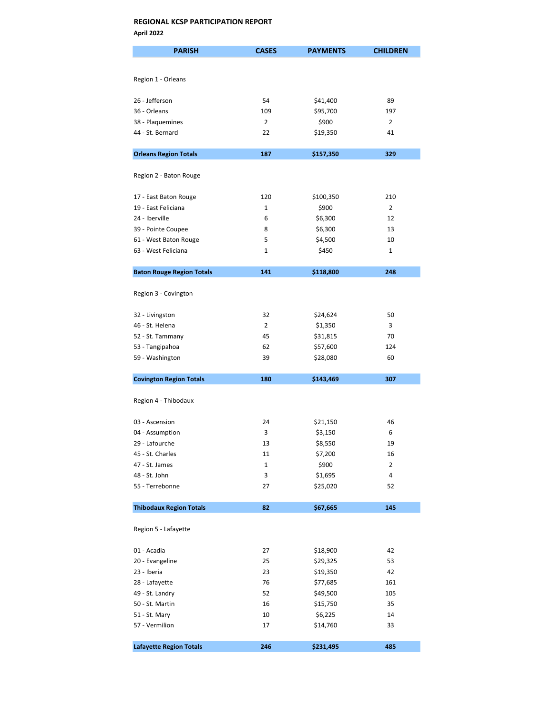| <b>PARISH</b>                    | <b>CASES</b>   | <b>PAYMENTS</b> | <b>CHILDREN</b> |
|----------------------------------|----------------|-----------------|-----------------|
|                                  |                |                 |                 |
| Region 1 - Orleans               |                |                 |                 |
|                                  |                |                 |                 |
| 26 - Jefferson                   | 54             | \$41,400        | 89              |
| 36 - Orleans                     | 109            | \$95,700        | 197             |
| 38 - Plaquemines                 | $\overline{2}$ | \$900           | $\overline{2}$  |
| 44 - St. Bernard                 | 22             | \$19,350        | 41              |
| <b>Orleans Region Totals</b>     | 187            | \$157,350       | 329             |
|                                  |                |                 |                 |
| Region 2 - Baton Rouge           |                |                 |                 |
|                                  | 120            |                 | 210             |
| 17 - East Baton Rouge            | 1              | \$100,350       | $\overline{2}$  |
| 19 - East Feliciana              |                | \$900           |                 |
| 24 - Iberville                   | 6              | \$6,300         | 12              |
| 39 - Pointe Coupee               | 8              | \$6,300         | 13              |
| 61 - West Baton Rouge            | 5              | \$4,500         | 10              |
| 63 - West Feliciana              | 1              | \$450           | 1               |
| <b>Baton Rouge Region Totals</b> | 141            | \$118,800       | 248             |
|                                  |                |                 |                 |
| Region 3 - Covington             |                |                 |                 |
| 32 - Livingston                  | 32             | \$24,624        | 50              |
| 46 - St. Helena                  | 2              | \$1,350         | 3               |
| 52 - St. Tammany                 | 45             | \$31,815        | 70              |
| 53 - Tangipahoa                  | 62             | \$57,600        | 124             |
| 59 - Washington                  | 39             | \$28,080        | 60              |
| <b>Covington Region Totals</b>   | 180            | \$143,469       | 307             |
|                                  |                |                 |                 |
| Region 4 - Thibodaux             |                |                 |                 |
|                                  |                |                 |                 |
| 03 - Ascension                   | 24             | \$21,150        | 46              |
| 04 - Assumption                  | 3              | \$3,150         | 6               |
| 29 - Lafourche                   | 13             | \$8,550         | 19              |
| 45 - St. Charles                 | 11             | \$7,200         | 16              |
| 47 - St. James                   | 1              | \$900           | 2               |
| 48 - St. John                    | 3              | \$1,695         | 4               |
| 55 - Terrebonne                  | 27             | \$25,020        | 52              |
| <b>Thibodaux Region Totals</b>   | 82             | \$67,665        | 145             |
| Region 5 - Lafayette             |                |                 |                 |
|                                  |                |                 |                 |
| 01 - Acadia                      | 27             | \$18,900        | 42              |
| 20 - Evangeline                  | 25             | \$29,325        | 53              |
| 23 - Iberia                      | 23             | \$19,350        | 42              |
| 28 - Lafayette                   | 76             | \$77,685        | 161             |
| 49 - St. Landry                  | 52             | \$49,500        | 105             |
| 50 - St. Martin                  | 16             | \$15,750        | 35              |
| 51 - St. Mary                    | 10             | \$6,225         | 14              |
| 57 - Vermilion                   | 17             | \$14,760        | 33              |
| <b>Lafayette Region Totals</b>   | 246            | \$231,495       | 485             |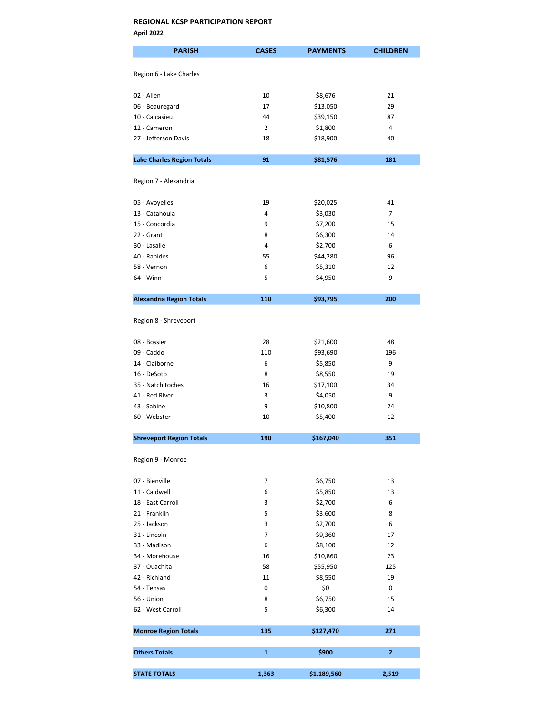| <b>PARISH</b>                     | <b>CASES</b>   | <b>PAYMENTS</b> | <b>CHILDREN</b> |
|-----------------------------------|----------------|-----------------|-----------------|
|                                   |                |                 |                 |
| Region 6 - Lake Charles           |                |                 |                 |
|                                   |                |                 |                 |
| 02 - Allen                        | 10             | \$8,676         | 21              |
| 06 - Beauregard                   | 17             | \$13,050        | 29              |
| 10 - Calcasieu                    | 44             | \$39,150        | 87              |
| 12 - Cameron                      | $\overline{2}$ | \$1,800         | 4               |
| 27 - Jefferson Davis              | 18             | \$18,900        | 40              |
|                                   |                |                 |                 |
| <b>Lake Charles Region Totals</b> | 91             | \$81,576        | 181             |
|                                   |                |                 |                 |
| Region 7 - Alexandria             |                |                 |                 |
|                                   |                |                 |                 |
| 05 - Avoyelles                    | 19             | \$20,025        | 41              |
| 13 - Catahoula                    | 4              | \$3,030         | $\overline{7}$  |
| 15 - Concordia                    | 9              | \$7,200         | 15              |
| 22 - Grant                        | 8              | \$6,300         | 14              |
| 30 - Lasalle                      | 4              | \$2,700         | 6               |
| 40 - Rapides                      | 55             | \$44,280        | 96              |
| 58 - Vernon                       | 6              | \$5,310         | 12              |
| 64 - Winn                         | 5              | \$4,950         | 9               |
|                                   |                |                 |                 |
| <b>Alexandria Region Totals</b>   | 110            | \$93,795        | 200             |
|                                   |                |                 |                 |
| Region 8 - Shreveport             |                |                 |                 |
|                                   |                |                 |                 |
| 08 - Bossier                      | 28             | \$21,600        | 48              |
| 09 - Caddo                        | 110            | \$93,690        | 196             |
| 14 - Claiborne                    | 6              | \$5,850         | 9               |
| 16 - DeSoto                       | 8              | \$8,550         | 19              |
| 35 - Natchitoches                 | 16             | \$17,100        | 34              |
| 41 - Red River                    | 3              | \$4,050         | 9               |
| 43 - Sabine                       | 9              | \$10,800        | 24              |
| 60 - Webster                      | 10             | \$5,400         | 12              |
|                                   |                |                 |                 |
| <b>Shreveport Region Totals</b>   | 190            | \$167,040       | 351             |
|                                   |                |                 |                 |
| Region 9 - Monroe                 |                |                 |                 |
|                                   |                |                 |                 |
| 07 - Bienville                    | 7              | \$6,750         | 13              |
| 11 - Caldwell                     | 6              | \$5,850         | 13              |
| 18 - East Carroll                 | 3              | \$2,700         | 6               |
| 21 - Franklin                     | 5              | \$3,600         | 8               |
| 25 - Jackson                      | 3              | \$2,700         | 6               |
| 31 - Lincoln                      | 7              | \$9,360         | 17              |
| 33 - Madison                      | 6              | \$8,100         | 12              |
| 34 - Morehouse                    | 16             | \$10,860        | 23              |
| 37 - Ouachita                     | 58             | \$55,950        | 125             |
| 42 - Richland                     | 11             | \$8,550         | 19              |
| 54 - Tensas                       | 0              | \$0             | 0               |
| 56 - Union                        | 8              | \$6,750         | 15              |
| 62 - West Carroll                 | 5              | \$6,300         | 14              |
|                                   |                |                 |                 |
| <b>Monroe Region Totals</b>       | 135            | \$127,470       | 271             |
|                                   |                |                 |                 |
| <b>Others Totals</b>              | $\mathbf{1}$   | \$900           | $\overline{2}$  |
|                                   |                |                 |                 |
| <b>STATE TOTALS</b>               | 1,363          | \$1,189,560     | 2,519           |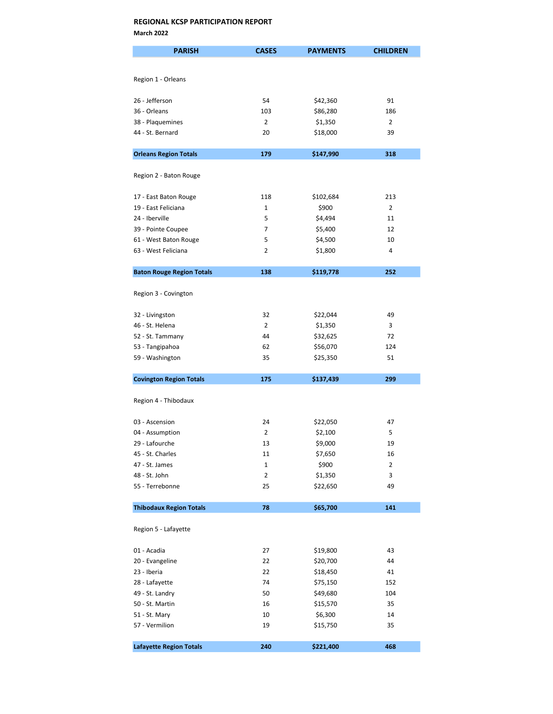March 2022

| <b>PARISH</b>                    | <b>CASES</b>   | <b>PAYMENTS</b> | <b>CHILDREN</b> |
|----------------------------------|----------------|-----------------|-----------------|
|                                  |                |                 |                 |
| Region 1 - Orleans               |                |                 |                 |
|                                  |                |                 |                 |
| 26 - Jefferson                   | 54             | \$42,360        | 91              |
| 36 - Orleans                     | 103            | \$86,280        | 186             |
| 38 - Plaquemines                 | $\overline{2}$ | \$1,350         | $\overline{2}$  |
| 44 - St. Bernard                 | 20             | \$18,000        | 39              |
| <b>Orleans Region Totals</b>     | 179            | \$147,990       | 318             |
|                                  |                |                 |                 |
| Region 2 - Baton Rouge           |                |                 |                 |
| 17 - East Baton Rouge            | 118            | \$102,684       | 213             |
| 19 - East Feliciana              | $\mathbf{1}$   | \$900           | $\overline{2}$  |
| 24 - Iberville                   | 5              | \$4,494         | 11              |
| 39 - Pointe Coupee               | 7              | \$5,400         | 12              |
| 61 - West Baton Rouge            | 5              | \$4,500         | 10              |
| 63 - West Feliciana              | 2              | \$1,800         | 4               |
|                                  |                |                 |                 |
| <b>Baton Rouge Region Totals</b> | 138            | \$119,778       | 252             |
| Region 3 - Covington             |                |                 |                 |
| 32 - Livingston                  | 32             | \$22,044        | 49              |
| 46 - St. Helena                  | $\overline{2}$ | \$1,350         | 3               |
| 52 - St. Tammany                 | 44             | \$32,625        | 72              |
| 53 - Tangipahoa                  | 62             | \$56,070        | 124             |
| 59 - Washington                  | 35             | \$25,350        | 51              |
| <b>Covington Region Totals</b>   | 175            | \$137,439       | 299             |
|                                  |                |                 |                 |
| Region 4 - Thibodaux             |                |                 |                 |
| 03 - Ascension                   | 24             | \$22,050        | 47              |
| 04 - Assumption                  | $\overline{2}$ | \$2,100         | 5               |
| 29 - Lafourche                   | 13             | \$9,000         | 19              |
| 45 - St. Charles                 | 11             | \$7,650         | 16              |
| 47 - St. James                   | $\mathbf 1$    | \$900           | 2               |
| 48 - St. John                    | $\overline{2}$ | \$1,350         | 3               |
| 55 - Terrebonne                  | 25             | \$22,650        | 49              |
| <b>Thibodaux Region Totals</b>   | 78             | \$65,700        | 141             |
|                                  |                |                 |                 |
| Region 5 - Lafayette             |                |                 |                 |
| 01 - Acadia                      | 27             | \$19,800        | 43              |
| 20 - Evangeline                  | 22             | \$20,700        | 44              |
| 23 - Iberia                      | 22             | \$18,450        | 41              |
| 28 - Lafayette                   | 74             | \$75,150        | 152             |
| 49 - St. Landry                  | 50             | \$49,680        | 104             |
| 50 - St. Martin                  | 16             | \$15,570        | 35              |
| 51 - St. Mary                    | 10             | \$6,300         | 14              |
| 57 - Vermilion                   | 19             | \$15,750        | 35              |
| <b>Lafayette Region Totals</b>   | 240            | \$221,400       | 468             |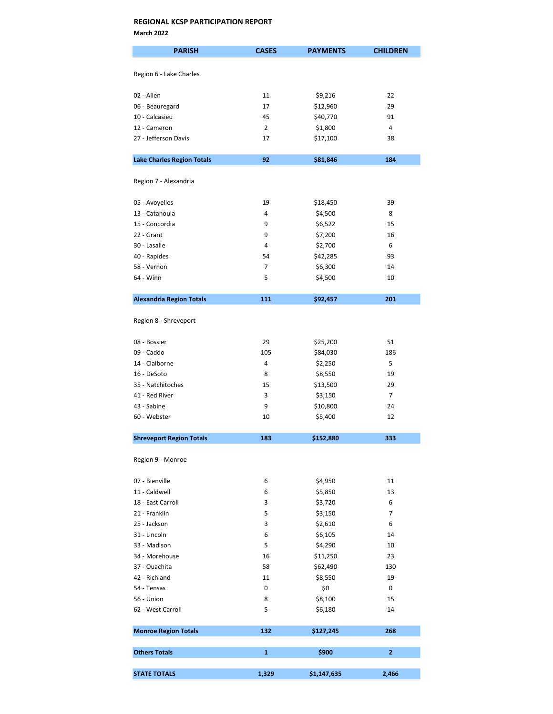March 2022

| <b>PARISH</b>                     | <b>CASES</b>   | <b>PAYMENTS</b> | <b>CHILDREN</b> |
|-----------------------------------|----------------|-----------------|-----------------|
|                                   |                |                 |                 |
| Region 6 - Lake Charles           |                |                 |                 |
| 02 - Allen                        | 11             | \$9,216         | 22              |
| 06 - Beauregard                   | 17             | \$12,960        | 29              |
| 10 - Calcasieu                    | 45             | \$40,770        | 91              |
| 12 - Cameron                      | $\overline{2}$ | \$1,800         | 4               |
| 27 - Jefferson Davis              | 17             | \$17,100        | 38              |
| <b>Lake Charles Region Totals</b> | 92             | \$81,846        | 184             |
|                                   |                |                 |                 |
| Region 7 - Alexandria             |                |                 |                 |
| 05 - Avoyelles                    | 19             | \$18,450        | 39              |
| 13 - Catahoula                    | 4              | \$4,500         | 8               |
| 15 - Concordia                    | 9              | \$6,522         | 15              |
| 22 - Grant                        | 9              | \$7,200         | 16              |
| 30 - Lasalle                      | 4              | \$2,700         | 6               |
| 40 - Rapides                      | 54             | \$42,285        | 93              |
| 58 - Vernon                       | 7              | \$6,300         | 14              |
| 64 - Winn                         | 5              | \$4,500         | 10              |
|                                   |                |                 |                 |
| <b>Alexandria Region Totals</b>   | 111            | \$92,457        | 201             |
| Region 8 - Shreveport             |                |                 |                 |
| 08 - Bossier                      | 29             | \$25,200        | 51              |
| 09 - Caddo                        | 105            | \$84,030        | 186             |
| 14 - Claiborne                    | 4              | \$2,250         | 5               |
| 16 - DeSoto                       | 8              | \$8,550         | 19              |
| 35 - Natchitoches                 | 15             | \$13,500        | 29              |
| 41 - Red River                    | 3              | \$3,150         | $\overline{7}$  |
| 43 - Sabine                       | 9              | \$10,800        | 24              |
| 60 - Webster                      | 10             | \$5,400         | 12              |
| <b>Shreveport Region Totals</b>   | 183            | \$152,880       | 333             |
|                                   |                |                 |                 |
| Region 9 - Monroe                 |                |                 |                 |
| 07 - Bienville                    | 6              | \$4,950         | 11              |
| 11 - Caldwell                     | 6              | \$5,850         | 13              |
| 18 - East Carroll                 | 3              | \$3,720         | 6               |
| 21 - Franklin                     | 5              | \$3,150         | $\overline{7}$  |
| 25 - Jackson                      | 3              | \$2,610         | 6               |
| 31 - Lincoln                      | 6              | \$6,105         | 14              |
| 33 - Madison                      | 5              | \$4,290         | 10              |
| 34 - Morehouse                    | 16             | \$11,250        | 23              |
| 37 - Ouachita                     | 58             | \$62,490        | 130             |
| 42 - Richland                     | 11             | \$8,550         | 19              |
| 54 - Tensas                       | 0              | \$0             | 0               |
| 56 - Union                        | 8              | \$8,100         | 15              |
| 62 - West Carroll                 | 5              | \$6,180         | 14              |
| <b>Monroe Region Totals</b>       | 132            | \$127,245       | 268             |
| <b>Others Totals</b>              | $\mathbf{1}$   | \$900           | $\overline{2}$  |
|                                   |                |                 |                 |
| <b>STATE TOTALS</b>               | 1,329          | \$1,147,635     | 2,466           |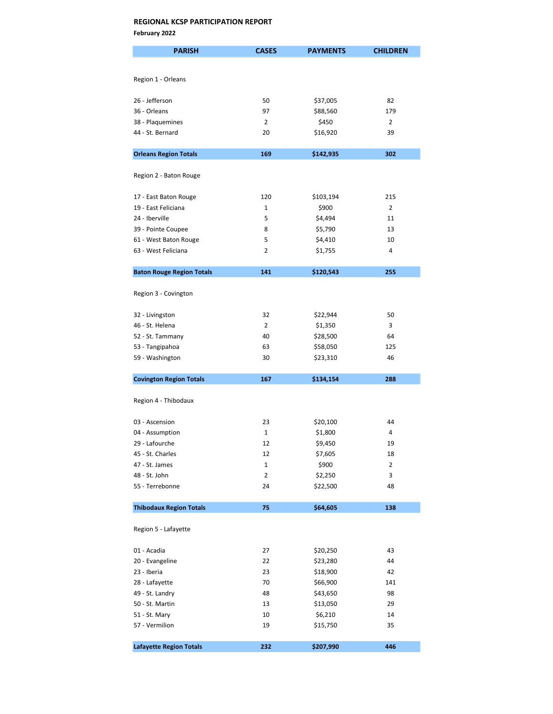February 2022

| <b>PARISH</b>                     | <b>CASES</b>   | <b>PAYMENTS</b> | <b>CHILDREN</b> |
|-----------------------------------|----------------|-----------------|-----------------|
|                                   |                |                 |                 |
| Region 1 - Orleans                |                |                 |                 |
|                                   |                |                 |                 |
| 26 - Jefferson                    | 50             | \$37,005        | 82              |
| 36 - Orleans                      | 97             | \$88,560        | 179             |
| 38 - Plaquemines                  | 2              | \$450           | 2               |
| 44 - St. Bernard                  | 20             | \$16,920        | 39              |
| <b>Orleans Region Totals</b>      | 169            | \$142,935       | 302             |
|                                   |                |                 |                 |
| Region 2 - Baton Rouge            |                |                 |                 |
| 17 - East Baton Rouge             | 120            | \$103,194       | 215             |
| 19 - East Feliciana               | 1              | \$900           | 2               |
| 24 - Iberville                    | 5              | \$4,494         | 11              |
| 39 - Pointe Coupee                | 8              | \$5,790         | 13              |
| 61 - West Baton Rouge             | 5              | \$4,410         | 10              |
| 63 - West Feliciana               | 2              | \$1,755         | 4               |
|                                   |                |                 |                 |
| <b>Baton Rouge Region Totals</b>  | 141            | \$120,543       | 255             |
| Region 3 - Covington              |                |                 |                 |
|                                   |                |                 |                 |
| 32 - Livingston                   | 32             | \$22,944        | 50              |
| 46 - St. Helena                   | $\overline{2}$ | \$1,350         | 3               |
| 52 - St. Tammany                  | 40             | \$28,500        | 64              |
| 53 - Tangipahoa                   | 63             | \$58,050        | 125             |
| 59 - Washington                   | 30             | \$23,310        | 46              |
| <b>Covington Region Totals</b>    | 167            | \$134,154       | 288             |
|                                   |                |                 |                 |
| Region 4 - Thibodaux              |                |                 |                 |
|                                   | 23             |                 |                 |
| 03 - Ascension<br>04 - Assumption | $\mathbf{1}$   | \$20,100        | 44<br>4         |
|                                   |                | \$1,800         |                 |
| 29 - Lafourche                    | 12             | \$9,450         | 19              |
| 45 - St. Charles                  | 12             | \$7,605         | 18              |
| 47 - St. James                    | $\mathbf 1$    | \$900           | $\overline{2}$  |
| 48 - St. John                     | $\overline{2}$ | \$2,250         | 3               |
| 55 - Terrebonne                   | 24             | \$22,500        | 48              |
| <b>Thibodaux Region Totals</b>    | 75             | \$64,605        | 138             |
| Region 5 - Lafayette              |                |                 |                 |
|                                   |                |                 |                 |
| 01 - Acadia                       | 27             | \$20,250        | 43              |
| 20 - Evangeline                   | 22             | \$23,280        | 44              |
| 23 - Iberia                       | 23             | \$18,900        | 42              |
| 28 - Lafayette                    | 70             | \$66,900        | 141             |
| 49 - St. Landry                   | 48             | \$43,650        | 98              |
| 50 - St. Martin                   | 13             | \$13,050        | 29              |
| 51 - St. Mary                     | 10             | \$6,210         | 14              |
| 57 - Vermilion                    | 19             | \$15,750        | 35              |
|                                   |                |                 |                 |
| <b>Lafayette Region Totals</b>    | 232            | \$207,990       | 446             |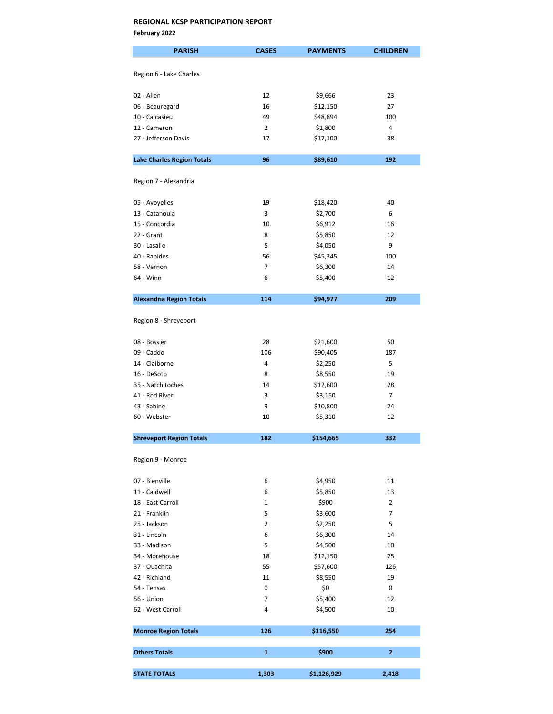February 2022

| <b>PARISH</b>                     | <b>CASES</b>   | <b>PAYMENTS</b> | <b>CHILDREN</b> |
|-----------------------------------|----------------|-----------------|-----------------|
| Region 6 - Lake Charles           |                |                 |                 |
|                                   |                |                 |                 |
| 02 - Allen                        | 12             | \$9,666         | 23              |
| 06 - Beauregard                   | 16             | \$12,150        | 27              |
| 10 - Calcasieu                    | 49             | \$48,894        | 100             |
| 12 - Cameron                      | 2              | \$1,800         | 4               |
| 27 - Jefferson Davis              | 17             | \$17,100        | 38              |
| <b>Lake Charles Region Totals</b> | 96             | \$89,610        | 192             |
|                                   |                |                 |                 |
| Region 7 - Alexandria             |                |                 |                 |
| 05 - Avoyelles                    | 19             | \$18,420        | 40              |
| 13 - Catahoula                    | 3              | \$2,700         | 6               |
| 15 - Concordia                    | 10             | \$6,912         | 16              |
| 22 - Grant                        | 8              | \$5,850         | 12              |
| 30 - Lasalle                      | 5              | \$4,050         | 9               |
| 40 - Rapides                      | 56             | \$45,345        | 100             |
| 58 - Vernon                       | $\overline{7}$ | \$6,300         | 14              |
| 64 - Winn                         | 6              | \$5,400         | 12              |
| <b>Alexandria Region Totals</b>   | 114            | \$94,977        | 209             |
|                                   |                |                 |                 |
| Region 8 - Shreveport             |                |                 |                 |
| 08 - Bossier                      | 28             | \$21,600        | 50              |
| 09 - Caddo                        | 106            | \$90,405        | 187             |
| 14 - Claiborne                    | 4              | \$2,250         | 5               |
| 16 - DeSoto                       | 8              | \$8,550         | 19              |
| 35 - Natchitoches                 | 14             | \$12,600        | 28              |
| 41 - Red River                    | 3              | \$3,150         | $\overline{7}$  |
| 43 - Sabine                       | 9              | \$10,800        | 24              |
| 60 - Webster                      | 10             | \$5,310         | 12              |
| <b>Shreveport Region Totals</b>   | 182            | \$154,665       | 332             |
|                                   |                |                 |                 |
| Region 9 - Monroe                 |                |                 |                 |
| 07 - Bienville                    | 6              | \$4,950         | 11              |
| 11 - Caldwell                     | 6              | \$5,850         | 13              |
| 18 - East Carroll                 | 1              | \$900           | 2               |
| 21 - Franklin                     | 5              | \$3,600         | $\overline{7}$  |
| 25 - Jackson                      | $\overline{2}$ | \$2,250         | 5               |
| 31 - Lincoln                      | 6              | \$6,300         | 14              |
| 33 - Madison                      | 5              | \$4,500         | 10              |
| 34 - Morehouse                    | 18             | \$12,150        | 25              |
| 37 - Ouachita                     | 55             | \$57,600        | 126             |
| 42 - Richland                     | 11             | \$8,550         | 19              |
| 54 - Tensas                       | 0              | \$0             | 0               |
| 56 - Union                        | 7              | \$5,400         | 12              |
| 62 - West Carroll                 | 4              | \$4,500         | 10              |
| <b>Monroe Region Totals</b>       | 126            | \$116,550       | 254             |
|                                   |                |                 |                 |
| <b>Others Totals</b>              | 1              | \$900           | $\overline{2}$  |
| <b>STATE TOTALS</b>               | 1,303          | \$1,126,929     | 2,418           |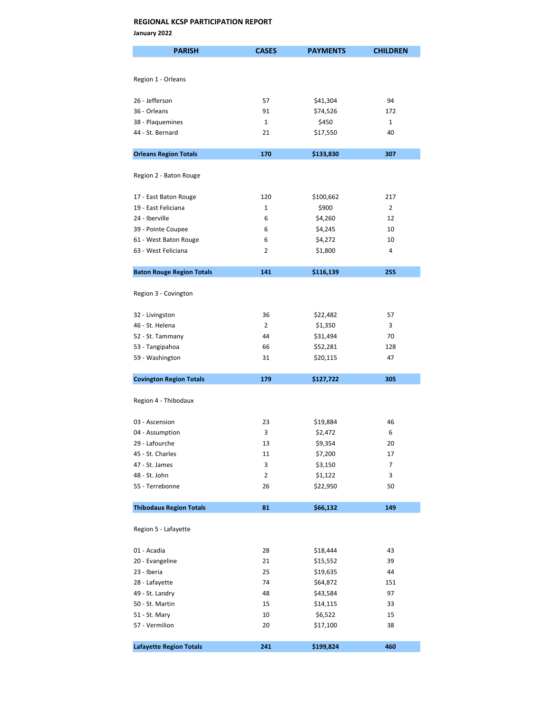January 2022

| <b>PARISH</b>                                | <b>CASES</b>   | <b>PAYMENTS</b>      | <b>CHILDREN</b> |
|----------------------------------------------|----------------|----------------------|-----------------|
|                                              |                |                      |                 |
| Region 1 - Orleans                           |                |                      |                 |
|                                              |                |                      |                 |
| 26 - Jefferson                               | 57             | \$41,304             | 94              |
| 36 - Orleans                                 | 91             | \$74,526             | 172             |
| 38 - Plaquemines                             | $\mathbf{1}$   | \$450                | $\mathbf{1}$    |
| 44 - St. Bernard                             | 21             | \$17,550             | 40              |
| <b>Orleans Region Totals</b>                 | 170            | \$133,830            | 307             |
|                                              |                |                      |                 |
| Region 2 - Baton Rouge                       |                |                      |                 |
|                                              | 120            |                      | 217             |
| 17 - East Baton Rouge<br>19 - East Feliciana | $\mathbf{1}$   | \$100,662<br>\$900   | $\overline{2}$  |
| 24 - Iberville                               | 6              | \$4,260              | 12              |
| 39 - Pointe Coupee                           | 6              | \$4,245              | 10              |
| 61 - West Baton Rouge                        | 6              | \$4,272              | 10              |
| 63 - West Feliciana                          | 2              | \$1,800              | 4               |
|                                              |                |                      |                 |
| <b>Baton Rouge Region Totals</b>             | 141            | \$116,139            | 255             |
|                                              |                |                      |                 |
| Region 3 - Covington                         |                |                      |                 |
| 32 - Livingston                              | 36             | \$22,482             | 57              |
| 46 - St. Helena                              | $\overline{2}$ | \$1,350              | 3               |
| 52 - St. Tammany                             | 44             | \$31,494             | 70              |
| 53 - Tangipahoa                              | 66             | \$52,281             | 128             |
| 59 - Washington                              | 31             | \$20,115             | 47              |
|                                              |                |                      |                 |
| <b>Covington Region Totals</b>               | 179            | \$127,722            | 305             |
| Region 4 - Thibodaux                         |                |                      |                 |
|                                              |                |                      |                 |
| 03 - Ascension                               | 23             | \$19,884             | 46              |
| 04 - Assumption                              | 3              | \$2,472              | 6               |
| 29 - Lafourche                               | 13             | \$9,354              | 20              |
| 45 - St. Charles                             | 11             | \$7,200              | 17              |
| 47 - St. James                               | 3              | \$3,150              | 7               |
| 48 - St. John                                | 2              | \$1,122              | 3               |
| 55 - Terrebonne                              | 26             | \$22,950             | 50              |
| <b>Thibodaux Region Totals</b>               | 81             | \$66,132             | 149             |
|                                              |                |                      |                 |
| Region 5 - Lafayette                         |                |                      |                 |
|                                              |                |                      |                 |
| 01 - Acadia                                  | 28             | \$18,444             | 43              |
| 20 - Evangeline                              | 21             | \$15,552             | 39              |
| 23 - Iberia                                  | 25<br>74       | \$19,635             | 44              |
| 28 - Lafayette<br>49 - St. Landry            | 48             | \$64,872<br>\$43,584 | 151<br>97       |
| 50 - St. Martin                              | 15             | \$14,115             | 33              |
| 51 - St. Mary                                | 10             | \$6,522              | 15              |
| 57 - Vermilion                               | 20             | \$17,100             | 38              |
|                                              |                |                      |                 |
| <b>Lafayette Region Totals</b>               | 241            | \$199,824            | 460             |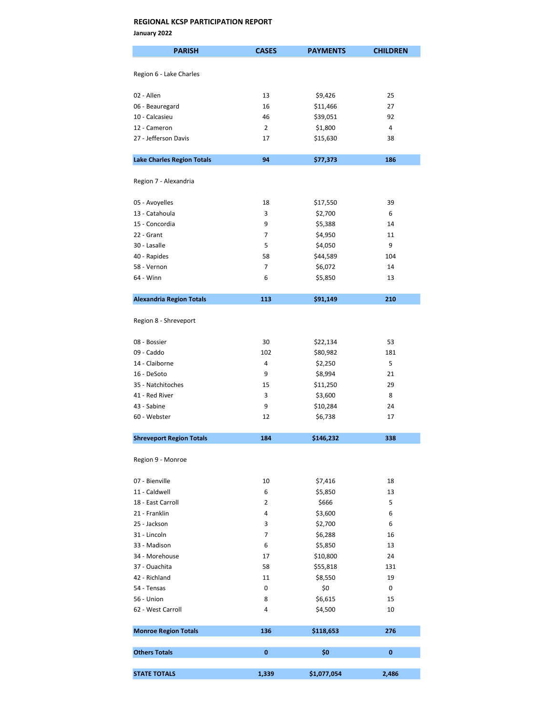January 2022

| <b>PARISH</b>                     | <b>CASES</b>   | <b>PAYMENTS</b> | <b>CHILDREN</b> |
|-----------------------------------|----------------|-----------------|-----------------|
| Region 6 - Lake Charles           |                |                 |                 |
|                                   |                |                 |                 |
| 02 - Allen                        | 13             | \$9,426         | 25              |
| 06 - Beauregard                   | 16             | \$11,466        | 27              |
| 10 - Calcasieu                    | 46             | \$39,051        | 92              |
| 12 - Cameron                      | 2              | \$1,800         | 4               |
| 27 - Jefferson Davis              | 17             | \$15,630        | 38              |
| <b>Lake Charles Region Totals</b> | 94             | \$77,373        | 186             |
| Region 7 - Alexandria             |                |                 |                 |
| 05 - Avoyelles                    | 18             | \$17,550        | 39              |
| 13 - Catahoula                    | 3              | \$2,700         | 6               |
| 15 - Concordia                    | 9              | \$5,388         | 14              |
| 22 - Grant                        | 7              | \$4,950         | 11              |
| 30 - Lasalle                      | 5              | \$4,050         | 9               |
| 40 - Rapides                      | 58             | \$44,589        | 104             |
| 58 - Vernon                       | $\overline{7}$ | \$6,072         | 14              |
| 64 - Winn                         | 6              | \$5,850         | 13              |
|                                   |                |                 |                 |
| <b>Alexandria Region Totals</b>   | 113            | \$91,149        | 210             |
| Region 8 - Shreveport             |                |                 |                 |
| 08 - Bossier                      | 30             | \$22,134        | 53              |
| 09 - Caddo                        | 102            | \$80,982        | 181             |
| 14 - Claiborne                    | 4              | \$2,250         | 5               |
| 16 - DeSoto                       | 9              | \$8,994         | 21              |
| 35 - Natchitoches                 | 15             | \$11,250        | 29              |
| 41 - Red River                    | 3              | \$3,600         | 8               |
| 43 - Sabine                       | 9              | \$10,284        | 24              |
| 60 - Webster                      | 12             | \$6,738         | 17              |
| <b>Shreveport Region Totals</b>   | 184            | \$146,232       | 338             |
|                                   |                |                 |                 |
| Region 9 - Monroe                 |                |                 |                 |
| 07 - Bienville                    | 10             | \$7,416         | 18              |
| 11 - Caldwell                     | 6              | \$5,850         | 13              |
| 18 - East Carroll                 | 2              | \$666           | 5               |
| 21 - Franklin                     | 4              | \$3,600         | 6               |
| 25 - Jackson                      | 3              | \$2,700         | 6               |
| 31 - Lincoln                      | 7              | \$6,288         | 16              |
| 33 - Madison                      | 6              | \$5,850         | 13              |
| 34 - Morehouse                    | 17             | \$10,800        | 24              |
| 37 - Ouachita                     | 58             | \$55,818        | 131             |
| 42 - Richland                     | 11             | \$8,550         | 19              |
| 54 - Tensas                       | 0              | \$0             | 0               |
| 56 - Union                        | 8              | \$6,615         | 15              |
| 62 - West Carroll                 | 4              | \$4,500         | 10              |
| <b>Monroe Region Totals</b>       | 136            | \$118,653       | 276             |
|                                   |                |                 |                 |
| <b>Others Totals</b>              | 0              | \$0             | 0               |
| <b>STATE TOTALS</b>               | 1,339          | \$1,077,054     | 2,486           |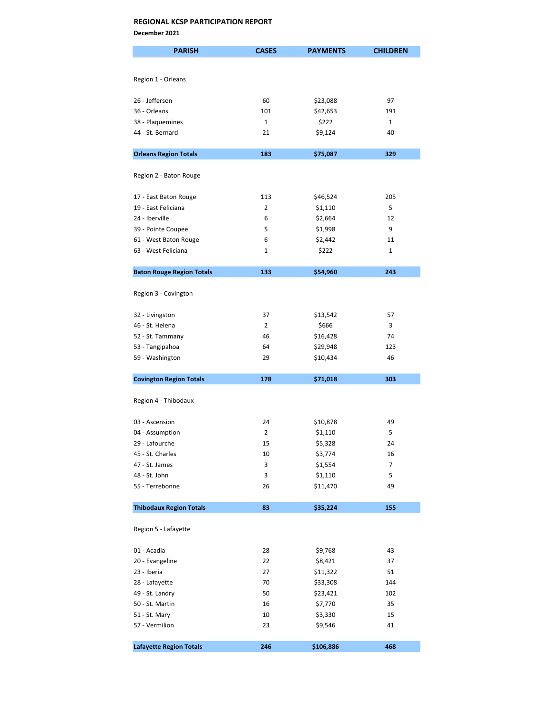December 2021

| <b>PARISH</b>                     | <b>CASES</b>   | <b>PAYMENTS</b>     | <b>CHILDREN</b> |
|-----------------------------------|----------------|---------------------|-----------------|
|                                   |                |                     |                 |
| Region 1 - Orleans                |                |                     |                 |
|                                   |                |                     |                 |
| 26 - Jefferson                    | 60             | \$23,088            | 97              |
| 36 - Orleans                      | 101            | \$42,653            | 191             |
| 38 - Plaquemines                  | $\mathbf{1}$   | \$222               | $\mathbf{1}$    |
| 44 - St. Bernard                  | 21             | \$9,124             | 40              |
| <b>Orleans Region Totals</b>      | 183            | \$75,087            | 329             |
|                                   |                |                     |                 |
| Region 2 - Baton Rouge            |                |                     |                 |
| 17 - East Baton Rouge             | 113            | \$46,524            | 205             |
| 19 - East Feliciana               | $\overline{2}$ | \$1,110             | 5               |
| 24 - Iberville                    | 6              | \$2,664             | 12              |
| 39 - Pointe Coupee                | 5              | \$1,998             | 9               |
| 61 - West Baton Rouge             | 6              | \$2,442             | 11              |
| 63 - West Feliciana               | 1              | \$222               | 1               |
| <b>Baton Rouge Region Totals</b>  | 133            | \$54,960            | 243             |
|                                   |                |                     |                 |
| Region 3 - Covington              |                |                     |                 |
| 32 - Livingston                   | 37             | \$13,542            | 57              |
| 46 - St. Helena                   | $\overline{2}$ | \$666               | 3               |
| 52 - St. Tammany                  | 46             | \$16,428            | 74              |
| 53 - Tangipahoa                   | 64             | \$29,948            | 123             |
| 59 - Washington                   | 29             | \$10,434            | 46              |
| <b>Covington Region Totals</b>    | 178            | \$71,018            | 303             |
|                                   |                |                     |                 |
| Region 4 - Thibodaux              |                |                     |                 |
| 03 - Ascension                    | 24             |                     | 49              |
|                                   | 2              | \$10,878<br>\$1,110 | 5               |
| 04 - Assumption<br>29 - Lafourche | 15             | \$5,328             | 24              |
| 45 - St. Charles                  |                |                     |                 |
| 47 - St. James                    | 10<br>3        | \$3,774<br>\$1,554  | 16<br>7         |
|                                   | 3              | \$1,110             | 5               |
| 48 - St. John<br>55 - Terrebonne  | 26             | \$11,470            | 49              |
|                                   |                |                     |                 |
| <b>Thibodaux Region Totals</b>    | 83             | \$35,224            | 155             |
| Region 5 - Lafayette              |                |                     |                 |
| 01 - Acadia                       | 28             | \$9,768             | 43              |
| 20 - Evangeline                   | 22             | \$8,421             | 37              |
| 23 - Iberia                       | 27             | \$11,322            | 51              |
| 28 - Lafayette                    | 70             | \$33,308            | 144             |
| 49 - St. Landry                   | 50             | \$23,421            | 102             |
| 50 - St. Martin                   | 16             | \$7,770             | 35              |
| 51 - St. Mary                     | 10             | \$3,330             | 15              |
| 57 - Vermilion                    | 23             | \$9,546             | 41              |
|                                   |                |                     |                 |
| <b>Lafayette Region Totals</b>    | 246            | \$106,886           | 468             |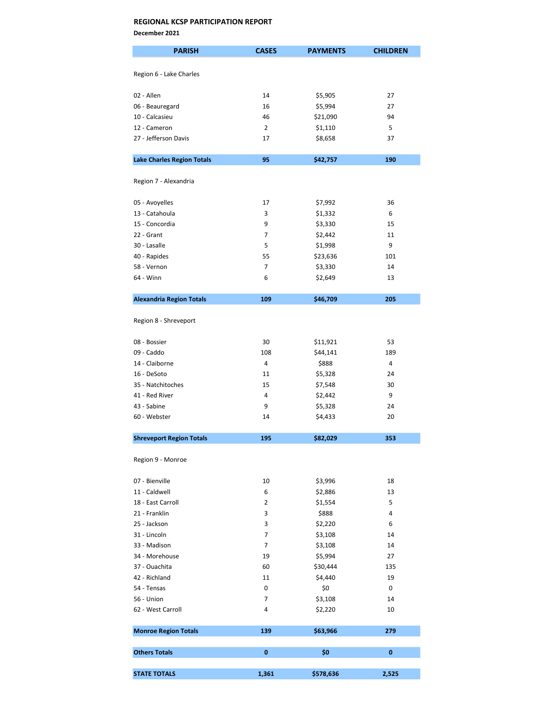December 2021

| <b>PARISH</b>                     | <b>CASES</b>   | <b>PAYMENTS</b> | <b>CHILDREN</b> |
|-----------------------------------|----------------|-----------------|-----------------|
| Region 6 - Lake Charles           |                |                 |                 |
|                                   |                |                 |                 |
| 02 - Allen                        | 14             | \$5,905         | 27              |
| 06 - Beauregard                   | 16             | \$5,994         | 27              |
| 10 - Calcasieu                    | 46             | \$21,090        | 94              |
| 12 - Cameron                      | $\overline{2}$ | \$1,110         | 5               |
| 27 - Jefferson Davis              | 17             | \$8,658         | 37              |
| <b>Lake Charles Region Totals</b> | 95             | \$42,757        | 190             |
|                                   |                |                 |                 |
| Region 7 - Alexandria             |                |                 |                 |
| 05 - Avoyelles                    | 17             | \$7,992         | 36              |
| 13 - Catahoula                    | 3              | \$1,332         | 6               |
| 15 - Concordia                    | 9              | \$3,330         | 15              |
| 22 - Grant                        | 7              | \$2,442         | 11              |
| 30 - Lasalle                      | 5              | \$1,998         | 9               |
| 40 - Rapides                      | 55             | \$23,636        | 101             |
| 58 - Vernon                       | $\overline{7}$ | \$3,330         | 14              |
| 64 - Winn                         | 6              | \$2,649         | 13              |
|                                   |                |                 |                 |
| <b>Alexandria Region Totals</b>   | 109            | \$46,709        | 205             |
| Region 8 - Shreveport             |                |                 |                 |
| 08 - Bossier                      | 30             | \$11,921        | 53              |
| 09 - Caddo                        | 108            | \$44,141        | 189             |
| 14 - Claiborne                    | 4              | \$888           | 4               |
| 16 - DeSoto                       | 11             | \$5,328         | 24              |
| 35 - Natchitoches                 | 15             | \$7,548         | 30              |
| 41 - Red River                    | 4              | \$2,442         | 9               |
| 43 - Sabine                       | 9              | \$5,328         | 24              |
| 60 - Webster                      | 14             | \$4,433         | 20              |
|                                   |                |                 |                 |
| <b>Shreveport Region Totals</b>   | 195            | \$82,029        | 353             |
| Region 9 - Monroe                 |                |                 |                 |
| 07 - Bienville                    | 10             | \$3,996         | 18              |
| 11 - Caldwell                     | 6              | \$2,886         | 13              |
| 18 - East Carroll                 | $\overline{2}$ | \$1,554         | 5               |
| 21 - Franklin                     | 3              | \$888           | 4               |
| 25 - Jackson                      | 3              | \$2,220         | 6               |
| 31 - Lincoln                      | 7              | \$3,108         | 14              |
| 33 - Madison                      | $\overline{7}$ | \$3,108         | 14              |
| 34 - Morehouse                    | 19             | \$5,994         | 27              |
| 37 - Ouachita                     | 60             | \$30,444        | 135             |
|                                   |                |                 |                 |
| 42 - Richland                     | 11             | \$4,440         | 19              |
| 54 - Tensas                       | 0              | \$0             | 0               |
| 56 - Union                        | 7              | \$3,108         | 14              |
| 62 - West Carroll                 | 4              | \$2,220         | 10              |
| <b>Monroe Region Totals</b>       | 139            | \$63,966        | 279             |
| <b>Others Totals</b>              | $\bf{0}$       | \$0             | $\bf{0}$        |
|                                   |                |                 |                 |
| <b>STATE TOTALS</b>               | 1,361          | \$578,636       | 2,525           |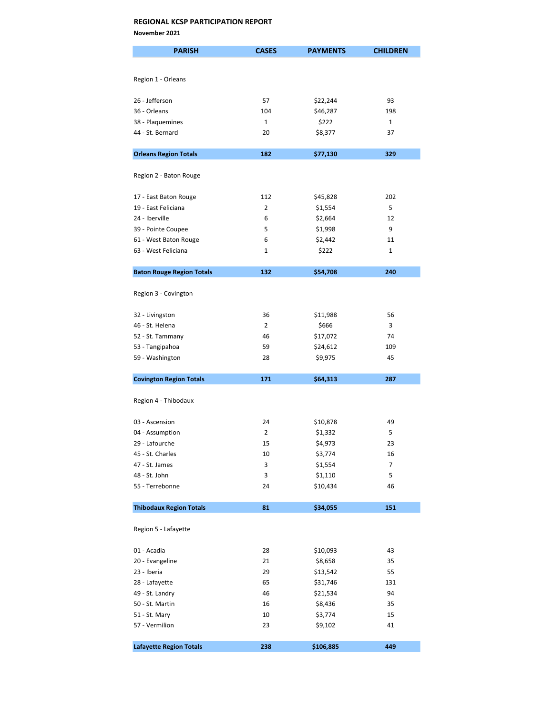November 2021

| <b>PARISH</b>                    | <b>CASES</b>   | <b>PAYMENTS</b> | <b>CHILDREN</b> |
|----------------------------------|----------------|-----------------|-----------------|
|                                  |                |                 |                 |
| Region 1 - Orleans               |                |                 |                 |
|                                  |                |                 |                 |
| 26 - Jefferson                   | 57             | \$22,244        | 93              |
| 36 - Orleans                     | 104            | \$46,287        | 198             |
| 38 - Plaquemines                 | $\mathbf{1}$   | \$222           | $\mathbf{1}$    |
| 44 - St. Bernard                 | 20             | \$8,377         | 37              |
|                                  |                |                 |                 |
| <b>Orleans Region Totals</b>     | 182            | \$77,130        | 329             |
| Region 2 - Baton Rouge           |                |                 |                 |
|                                  |                |                 |                 |
| 17 - East Baton Rouge            | 112            | \$45,828        | 202             |
| 19 - East Feliciana              | $\overline{2}$ | \$1,554         | 5               |
| 24 - Iberville                   | 6              | \$2,664         | 12              |
| 39 - Pointe Coupee               | 5              | \$1,998         | 9               |
| 61 - West Baton Rouge            | 6              | \$2,442         | 11              |
| 63 - West Feliciana              | 1              | \$222           | $\mathbf{1}$    |
|                                  |                |                 |                 |
| <b>Baton Rouge Region Totals</b> | 132            | \$54,708        | 240             |
|                                  |                |                 |                 |
| Region 3 - Covington             |                |                 |                 |
| 32 - Livingston                  | 36             | \$11,988        | 56              |
| 46 - St. Helena                  | $\overline{2}$ | \$666           | 3               |
| 52 - St. Tammany                 | 46             | \$17,072        | 74              |
| 53 - Tangipahoa                  | 59             | \$24,612        | 109             |
| 59 - Washington                  | 28             | \$9,975         | 45              |
|                                  |                |                 |                 |
| <b>Covington Region Totals</b>   | 171            | \$64,313        | 287             |
|                                  |                |                 |                 |
| Region 4 - Thibodaux             |                |                 |                 |
| 03 - Ascension                   | 24             | \$10,878        | 49              |
| 04 - Assumption                  | $\overline{2}$ | \$1,332         | 5               |
| 29 - Lafourche                   | 15             | \$4,973         | 23              |
| 45 - St. Charles                 | 10             | \$3,774         | 16              |
| 47 - St. James                   | 3              | \$1,554         | 7               |
| 48 - St. John                    | 3              | \$1,110         | 5               |
| 55 - Terrebonne                  | 24             | \$10,434        | 46              |
|                                  |                |                 |                 |
| <b>Thibodaux Region Totals</b>   | 81             | \$34,055        | 151             |
|                                  |                |                 |                 |
| Region 5 - Lafayette             |                |                 |                 |
| 01 - Acadia                      | 28             | \$10,093        | 43              |
| 20 - Evangeline                  | 21             | \$8,658         | 35              |
| 23 - Iberia                      | 29             | \$13,542        | 55              |
| 28 - Lafayette                   | 65             | \$31,746        | 131             |
| 49 - St. Landry                  | 46             | \$21,534        | 94              |
| 50 - St. Martin                  | 16             | \$8,436         | 35              |
| 51 - St. Mary                    | 10             | \$3,774         | 15              |
| 57 - Vermilion                   | 23             | \$9,102         | 41              |
|                                  |                |                 |                 |
| <b>Lafayette Region Totals</b>   | 238            | \$106,885       | 449             |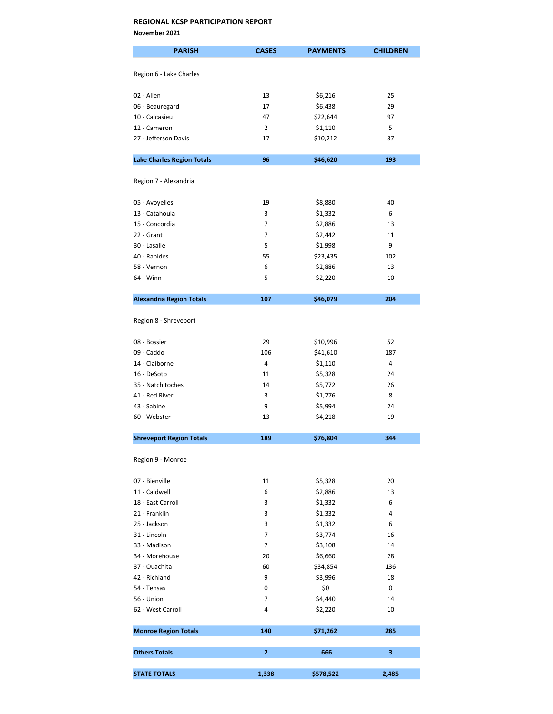November 2021

| <b>PARISH</b>                     | <b>CASES</b>   | <b>PAYMENTS</b> | <b>CHILDREN</b> |
|-----------------------------------|----------------|-----------------|-----------------|
|                                   |                |                 |                 |
| Region 6 - Lake Charles           |                |                 |                 |
| 02 - Allen                        | 13             | \$6,216         | 25              |
| 06 - Beauregard                   | 17             | \$6,438         | 29              |
| 10 - Calcasieu                    | 47             | \$22,644        | 97              |
| 12 - Cameron                      | $\overline{2}$ | \$1,110         | 5               |
| 27 - Jefferson Davis              | 17             | \$10,212        | 37              |
|                                   |                |                 |                 |
| <b>Lake Charles Region Totals</b> | 96             | \$46,620        | 193             |
| Region 7 - Alexandria             |                |                 |                 |
| 05 - Avoyelles                    | 19             | \$8,880         | 40              |
| 13 - Catahoula                    | 3              | \$1,332         | 6               |
| 15 - Concordia                    | 7              | \$2,886         | 13              |
| 22 - Grant                        | 7              | \$2,442         | 11              |
| 30 - Lasalle                      | 5              | \$1,998         | 9               |
| 40 - Rapides                      | 55             | \$23,435        | 102             |
| 58 - Vernon                       | 6              | \$2,886         | 13              |
| 64 - Winn                         | 5              | \$2,220         | 10              |
|                                   |                |                 |                 |
| <b>Alexandria Region Totals</b>   | 107            | \$46,079        | 204             |
| Region 8 - Shreveport             |                |                 |                 |
| 08 - Bossier                      | 29             | \$10,996        | 52              |
| 09 - Caddo                        | 106            | \$41,610        | 187             |
| 14 - Claiborne                    | 4              | \$1,110         | 4               |
| 16 - DeSoto                       | 11             | \$5,328         | 24              |
| 35 - Natchitoches                 | 14             | \$5,772         | 26              |
| 41 - Red River                    | 3              | \$1,776         | 8               |
| 43 - Sabine                       | 9              | \$5,994         | 24              |
| 60 - Webster                      | 13             | \$4,218         | 19              |
| <b>Shreveport Region Totals</b>   | 189            | \$76,804        | 344             |
| Region 9 - Monroe                 |                |                 |                 |
|                                   |                |                 |                 |
| 07 - Bienville                    | 11             | \$5,328         | 20              |
| 11 - Caldwell                     | 6              | \$2,886         | 13              |
| 18 - East Carroll                 | 3              | \$1,332         | 6               |
| 21 - Franklin                     | 3              | \$1,332         | 4               |
| 25 - Jackson                      | 3              | \$1,332         | 6               |
| 31 - Lincoln                      | 7              | \$3,774         | 16              |
| 33 - Madison                      | 7              | \$3,108         | 14              |
| 34 - Morehouse                    | 20             | \$6,660         | 28              |
| 37 - Ouachita                     | 60             | \$34,854        | 136             |
| 42 - Richland                     | 9              | \$3,996         | 18              |
| 54 - Tensas                       | 0              | \$0             | 0               |
| 56 - Union                        | 7              | \$4,440         | 14              |
| 62 - West Carroll                 | 4              | \$2,220         | 10              |
| <b>Monroe Region Totals</b>       | 140            | \$71,262        | 285             |
| <b>Others Totals</b>              | $\overline{2}$ | 666             | 3               |
|                                   |                |                 |                 |
| <b>STATE TOTALS</b>               | 1,338          | \$578,522       | 2,485           |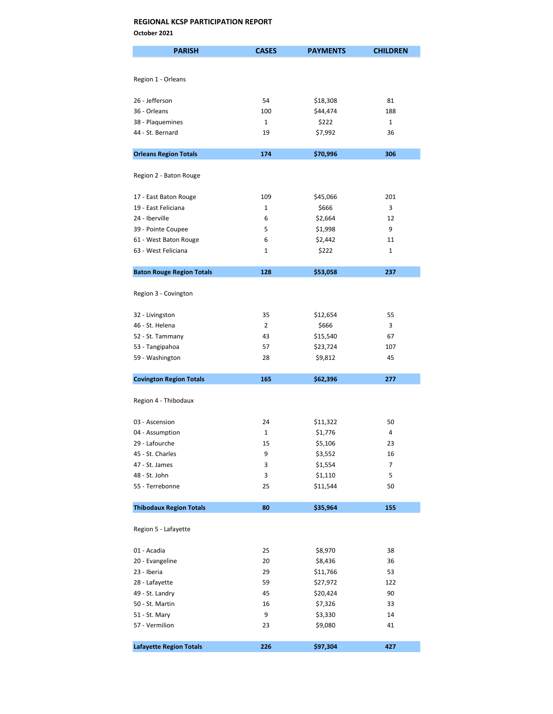October 2021

| <b>PARISH</b>                         | <b>CASES</b>      | <b>PAYMENTS</b>  | <b>CHILDREN</b> |
|---------------------------------------|-------------------|------------------|-----------------|
|                                       |                   |                  |                 |
| Region 1 - Orleans                    |                   |                  |                 |
|                                       |                   |                  |                 |
| 26 - Jefferson                        | 54                | \$18,308         | 81              |
| 36 - Orleans                          | 100               | \$44,474         | 188             |
| 38 - Plaquemines                      | $\mathbf{1}$      | \$222            | $\mathbf{1}$    |
| 44 - St. Bernard                      | 19                | \$7,992          | 36              |
|                                       |                   |                  |                 |
| <b>Orleans Region Totals</b>          | 174               | \$70,996         | 306             |
|                                       |                   |                  |                 |
| Region 2 - Baton Rouge                |                   |                  |                 |
|                                       |                   |                  |                 |
| 17 - East Baton Rouge                 | 109               | \$45,066         | 201             |
| 19 - East Feliciana<br>24 - Iberville | $\mathbf{1}$<br>6 | \$666<br>\$2,664 | 3<br>12         |
| 39 - Pointe Coupee                    | 5                 | \$1,998          | 9               |
| 61 - West Baton Rouge                 | 6                 | \$2,442          | 11              |
| 63 - West Feliciana                   | 1                 | \$222            | 1               |
|                                       |                   |                  |                 |
| <b>Baton Rouge Region Totals</b>      | 128               | \$53,058         | 237             |
|                                       |                   |                  |                 |
| Region 3 - Covington                  |                   |                  |                 |
|                                       |                   |                  |                 |
| 32 - Livingston                       | 35                | \$12,654         | 55              |
| 46 - St. Helena                       | $\overline{2}$    | \$666            | 3               |
| 52 - St. Tammany                      | 43                | \$15,540         | 67              |
| 53 - Tangipahoa                       | 57                | \$23,724         | 107             |
| 59 - Washington                       | 28                | \$9,812          | 45              |
| <b>Covington Region Totals</b>        | 165               | \$62,396         | 277             |
|                                       |                   |                  |                 |
| Region 4 - Thibodaux                  |                   |                  |                 |
|                                       |                   |                  |                 |
| 03 - Ascension                        | 24                | \$11,322         | 50              |
| 04 - Assumption                       | 1                 | \$1,776          | 4               |
| 29 - Lafourche                        | 15                | \$5,106          | 23              |
| 45 - St. Charles                      | 9                 | \$3,552          | 16              |
| 47 - St. James                        | 3                 | \$1,554          | 7               |
| 48 - St. John                         | 3                 | \$1,110          | 5               |
| 55 - Terrebonne                       | 25                | \$11,544         | 50              |
| <b>Thibodaux Region Totals</b>        | 80                | \$35,964         | 155             |
|                                       |                   |                  |                 |
| Region 5 - Lafayette                  |                   |                  |                 |
|                                       |                   |                  |                 |
| 01 - Acadia                           | 25                | \$8,970          | 38              |
| 20 - Evangeline                       | 20                | \$8,436          | 36              |
| 23 - Iberia                           | 29                | \$11,766         | 53              |
| 28 - Lafayette                        | 59                | \$27,972         | 122             |
| 49 - St. Landry                       | 45                | \$20,424         | 90              |
| 50 - St. Martin                       | 16                | \$7,326          | 33              |
| 51 - St. Mary                         | 9                 | \$3,330          | 14              |
| 57 - Vermilion                        | 23                | \$9,080          | 41              |
| <b>Lafayette Region Totals</b>        | 226               | \$97,304         | 427             |
|                                       |                   |                  |                 |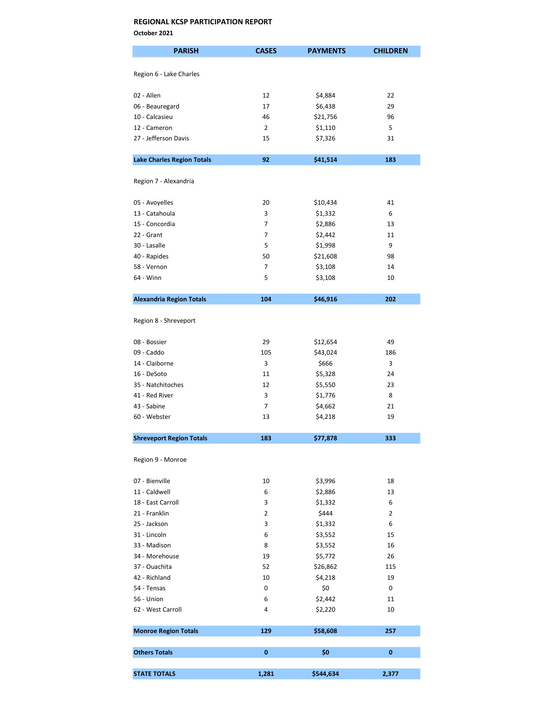October 2021

| <b>PARISH</b>                     | <b>CASES</b>   | <b>PAYMENTS</b>    | <b>CHILDREN</b> |
|-----------------------------------|----------------|--------------------|-----------------|
| Region 6 - Lake Charles           |                |                    |                 |
|                                   |                |                    |                 |
| 02 - Allen                        | 12             | \$4,884            | 22              |
| 06 - Beauregard                   | 17             | \$6,438            | 29              |
| 10 - Calcasieu                    | 46             | \$21,756           | 96              |
| 12 - Cameron                      | $\overline{2}$ | \$1,110            | 5               |
| 27 - Jefferson Davis              | 15             | \$7,326            | 31              |
| <b>Lake Charles Region Totals</b> | 92             | \$41,514           | 183             |
| Region 7 - Alexandria             |                |                    |                 |
| 05 - Avoyelles                    | 20             | \$10,434           | 41              |
| 13 - Catahoula                    | 3              | \$1,332            | 6               |
| 15 - Concordia                    | 7              | \$2,886            | 13              |
| 22 - Grant                        | 7              | \$2,442            | 11              |
| 30 - Lasalle                      | 5              | \$1,998            | 9               |
| 40 - Rapides                      | 50             | \$21,608           | 98              |
| 58 - Vernon                       | 7              |                    | 14              |
| 64 - Winn                         | 5              | \$3,108<br>\$3,108 | 10              |
|                                   |                |                    |                 |
| <b>Alexandria Region Totals</b>   | 104            | \$46,916           | 202             |
| Region 8 - Shreveport             |                |                    |                 |
| 08 - Bossier                      | 29             | \$12,654           | 49              |
| 09 - Caddo                        | 105            | \$43,024           | 186             |
| 14 - Claiborne                    | 3              | \$666              | 3               |
| 16 - DeSoto                       | 11             | \$5,328            | 24              |
| 35 - Natchitoches                 | 12             | \$5,550            | 23              |
| 41 - Red River                    | 3              | \$1,776            | 8               |
| 43 - Sabine                       | $\overline{7}$ | \$4,662            | 21              |
| 60 - Webster                      | 13             | \$4,218            | 19              |
| <b>Shreveport Region Totals</b>   | 183            | \$77,878           | 333             |
| Region 9 - Monroe                 |                |                    |                 |
|                                   |                |                    |                 |
| 07 - Bienville                    | 10             | \$3,996            | 18              |
| 11 - Caldwell                     | 6              | \$2,886            | 13              |
| 18 - East Carroll                 | 3              | \$1,332            | 6               |
| 21 - Franklin                     | $\overline{2}$ | \$444              | $\overline{2}$  |
| 25 - Jackson                      | 3              | \$1,332            | 6               |
| 31 - Lincoln                      | 6              | \$3,552            | 15              |
| 33 - Madison                      | 8              | \$3,552            | 16              |
| 34 - Morehouse                    | 19             | \$5,772            | 26              |
| 37 - Ouachita                     | 52             | \$26,862           | 115             |
| 42 - Richland                     | 10             | \$4,218            | 19              |
| 54 - Tensas                       | 0              | \$0                | 0               |
| 56 - Union<br>62 - West Carroll   | 6<br>4         | \$2,442<br>\$2,220 | 11<br>10        |
|                                   |                |                    |                 |
| <b>Monroe Region Totals</b>       | 129            | \$58,608           | 257             |
| <b>Others Totals</b>              | 0              | \$0                | $\bf{0}$        |
| <b>STATE TOTALS</b>               | 1,281          | \$544,634          | 2,377           |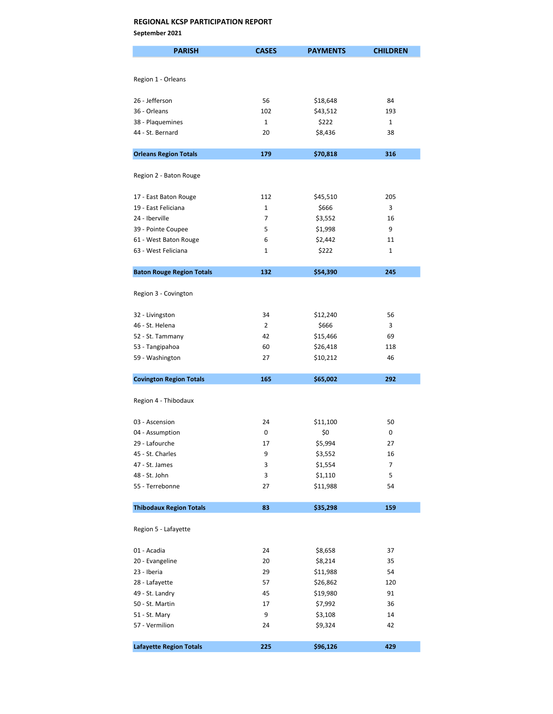September 2021

| <b>PARISH</b>                    | <b>CASES</b>   | <b>PAYMENTS</b> | <b>CHILDREN</b> |
|----------------------------------|----------------|-----------------|-----------------|
|                                  |                |                 |                 |
| Region 1 - Orleans               |                |                 |                 |
|                                  |                |                 |                 |
| 26 - Jefferson                   | 56             | \$18,648        | 84              |
| 36 - Orleans                     | 102            | \$43,512        | 193             |
| 38 - Plaquemines                 | $\mathbf{1}$   | \$222           | $\mathbf{1}$    |
| 44 - St. Bernard                 | 20             | \$8,436         | 38              |
| <b>Orleans Region Totals</b>     | 179            | \$70,818        | 316             |
| Region 2 - Baton Rouge           |                |                 |                 |
|                                  |                |                 |                 |
| 17 - East Baton Rouge            | 112            | \$45,510        | 205             |
| 19 - East Feliciana              | $\mathbf{1}$   | \$666           | 3               |
| 24 - Iberville                   | 7              | \$3,552         | 16              |
| 39 - Pointe Coupee               | 5              | \$1,998         | 9               |
| 61 - West Baton Rouge            | 6              | \$2,442         | 11              |
| 63 - West Feliciana              | 1              | \$222           | 1               |
| <b>Baton Rouge Region Totals</b> | 132            | \$54,390        | 245             |
|                                  |                |                 |                 |
| Region 3 - Covington             |                |                 |                 |
| 32 - Livingston                  | 34             | \$12,240        | 56              |
| 46 - St. Helena                  | $\overline{2}$ | \$666           | 3               |
| 52 - St. Tammany                 | 42             | \$15,466        | 69              |
| 53 - Tangipahoa                  | 60             | \$26,418        | 118             |
| 59 - Washington                  | 27             | \$10,212        | 46              |
| <b>Covington Region Totals</b>   | 165            | \$65,002        | 292             |
|                                  |                |                 |                 |
| Region 4 - Thibodaux             |                |                 |                 |
| 03 - Ascension                   | 24             | \$11,100        | 50              |
| 04 - Assumption                  | 0              | \$0             | 0               |
| 29 - Lafourche                   | 17             | \$5,994         | 27              |
| 45 - St. Charles                 | 9              | \$3,552         | 16              |
| 47 - St. James                   | 3              | \$1,554         | 7               |
| 48 - St. John                    | 3              | \$1,110         | 5               |
| 55 - Terrebonne                  | 27             | \$11,988        | 54              |
|                                  |                |                 |                 |
| <b>Thibodaux Region Totals</b>   | 83             | \$35,298        | 159             |
| Region 5 - Lafayette             |                |                 |                 |
| 01 - Acadia                      | 24             | \$8,658         | 37              |
| 20 - Evangeline                  | 20             | \$8,214         | 35              |
| 23 - Iberia                      | 29             | \$11,988        | 54              |
| 28 - Lafayette                   | 57             | \$26,862        | 120             |
| 49 - St. Landry                  | 45             | \$19,980        | 91              |
| 50 - St. Martin                  | 17             | \$7,992         | 36              |
| 51 - St. Mary                    | 9              | \$3,108         | 14              |
| 57 - Vermilion                   | 24             | \$9,324         | 42              |
| <b>Lafayette Region Totals</b>   | 225            | \$96,126        | 429             |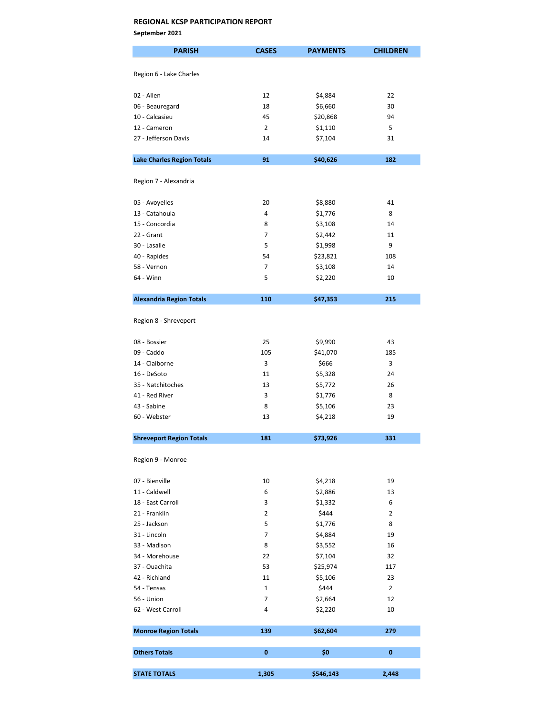September 2021

| <b>PARISH</b>                     | <b>CASES</b>   | <b>PAYMENTS</b> | <b>CHILDREN</b> |
|-----------------------------------|----------------|-----------------|-----------------|
| Region 6 - Lake Charles           |                |                 |                 |
|                                   |                |                 |                 |
| 02 - Allen                        | 12             | \$4,884         | 22              |
| 06 - Beauregard                   | 18             | \$6,660         | 30              |
| 10 - Calcasieu                    | 45             | \$20,868        | 94              |
| 12 - Cameron                      | $\overline{2}$ | \$1,110         | 5               |
| 27 - Jefferson Davis              | 14             | \$7,104         | 31              |
| <b>Lake Charles Region Totals</b> | 91             | \$40,626        | 182             |
|                                   |                |                 |                 |
| Region 7 - Alexandria             |                |                 |                 |
| 05 - Avoyelles                    | 20             | \$8,880         | 41              |
| 13 - Catahoula                    | 4              | \$1,776         | 8               |
| 15 - Concordia                    | 8              | \$3,108         | 14              |
| 22 - Grant                        | $\overline{7}$ | \$2,442         | 11              |
| 30 - Lasalle                      | 5              | \$1,998         | 9               |
| 40 - Rapides                      | 54             | \$23,821        | 108             |
| 58 - Vernon                       | 7              | \$3,108         | 14              |
| 64 - Winn                         | 5              | \$2,220         | 10              |
| <b>Alexandria Region Totals</b>   | 110            | \$47,353        | 215             |
|                                   |                |                 |                 |
| Region 8 - Shreveport             |                |                 |                 |
| 08 - Bossier                      | 25             | \$9,990         | 43              |
| 09 - Caddo                        | 105            | \$41,070        | 185             |
| 14 - Claiborne                    | 3              | \$666           | 3               |
| 16 - DeSoto                       | 11             | \$5,328         | 24              |
| 35 - Natchitoches                 | 13             | \$5,772         | 26              |
| 41 - Red River                    | 3              | \$1,776         | 8               |
| 43 - Sabine                       | 8              | \$5,106         | 23              |
| 60 - Webster                      | 13             | \$4,218         | 19              |
| <b>Shreveport Region Totals</b>   | 181            | \$73,926        | 331             |
|                                   |                |                 |                 |
| Region 9 - Monroe                 |                |                 |                 |
| 07 - Bienville                    | 10             | \$4,218         | 19              |
| 11 - Caldwell                     | 6              | \$2,886         | 13              |
| 18 - East Carroll                 | 3              | \$1,332         | 6               |
| 21 - Franklin                     | 2              | \$444           | $\overline{2}$  |
| 25 - Jackson                      | 5              | \$1,776         | 8               |
| 31 - Lincoln                      | 7              | \$4,884         | 19              |
| 33 - Madison                      | 8              | \$3,552         | 16              |
| 34 - Morehouse                    | 22             | \$7,104         | 32              |
| 37 - Ouachita                     | 53             | \$25,974        | 117             |
| 42 - Richland                     | 11             | \$5,106         | 23              |
| 54 - Tensas                       | $\mathbf{1}$   | \$444           | $\overline{2}$  |
| 56 - Union                        | 7              | \$2,664         | 12              |
| 62 - West Carroll                 | 4              | \$2,220         | 10              |
| <b>Monroe Region Totals</b>       | 139            | \$62,604        | 279             |
|                                   |                |                 |                 |
| <b>Others Totals</b>              | 0              | \$0             | 0               |
| <b>STATE TOTALS</b>               | 1,305          | \$546,143       | 2,448           |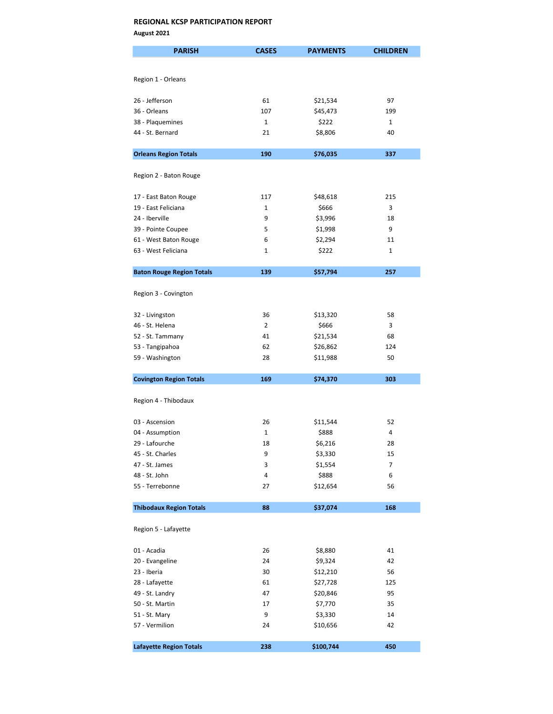August 2021

| <b>PARISH</b>                    | <b>CASES</b>   | <b>PAYMENTS</b> | <b>CHILDREN</b> |
|----------------------------------|----------------|-----------------|-----------------|
|                                  |                |                 |                 |
| Region 1 - Orleans               |                |                 |                 |
|                                  |                |                 |                 |
| 26 - Jefferson                   | 61             | \$21,534        | 97              |
| 36 - Orleans                     | 107            | \$45,473        | 199             |
| 38 - Plaquemines                 | $\mathbf{1}$   | \$222           | $\mathbf{1}$    |
| 44 - St. Bernard                 | 21             | \$8,806         | 40              |
| <b>Orleans Region Totals</b>     | 190            | \$76,035        | 337             |
| Region 2 - Baton Rouge           |                |                 |                 |
|                                  |                |                 |                 |
| 17 - East Baton Rouge            | 117            | \$48,618        | 215             |
| 19 - East Feliciana              | 1              | \$666           | 3               |
| 24 - Iberville                   | 9              | \$3,996         | 18              |
| 39 - Pointe Coupee               | 5              | \$1,998         | 9               |
| 61 - West Baton Rouge            | 6              | \$2,294         | 11              |
| 63 - West Feliciana              | 1              | \$222           | 1               |
| <b>Baton Rouge Region Totals</b> | 139            | \$57,794        | 257             |
|                                  |                |                 |                 |
| Region 3 - Covington             |                |                 |                 |
| 32 - Livingston                  | 36             | \$13,320        | 58              |
| 46 - St. Helena                  | $\overline{2}$ | \$666           | 3               |
| 52 - St. Tammany                 | 41             | \$21,534        | 68              |
| 53 - Tangipahoa                  | 62             | \$26,862        | 124             |
| 59 - Washington                  | 28             | \$11,988        | 50              |
| <b>Covington Region Totals</b>   | 169            | \$74,370        | 303             |
|                                  |                |                 |                 |
| Region 4 - Thibodaux             |                |                 |                 |
| 03 - Ascension                   | 26             | \$11,544        | 52              |
| 04 - Assumption                  | $\mathbf{1}$   | \$888           | 4               |
| 29 - Lafourche                   | 18             | \$6,216         | 28              |
| 45 - St. Charles                 | 9              | \$3,330         | 15              |
| 47 - St. James                   | 3              | \$1,554         | 7               |
| 48 - St. John                    | 4              | \$888           | 6               |
| 55 - Terrebonne                  | 27             | \$12,654        | 56              |
| <b>Thibodaux Region Totals</b>   | 88             | \$37,074        | 168             |
|                                  |                |                 |                 |
| Region 5 - Lafayette             |                |                 |                 |
| 01 - Acadia                      | 26             | \$8,880         | 41              |
| 20 - Evangeline                  | 24             | \$9,324         | 42              |
| 23 - Iberia                      | 30             | \$12,210        | 56              |
| 28 - Lafayette                   | 61             | \$27,728        | 125             |
| 49 - St. Landry                  | 47             | \$20,846        | 95              |
| 50 - St. Martin                  | 17             | \$7,770         | 35              |
| 51 - St. Mary                    | 9              | \$3,330         | 14              |
| 57 - Vermilion                   | 24             | \$10,656        | 42              |
| <b>Lafayette Region Totals</b>   | 238            | \$100,744       | 450             |
|                                  |                |                 |                 |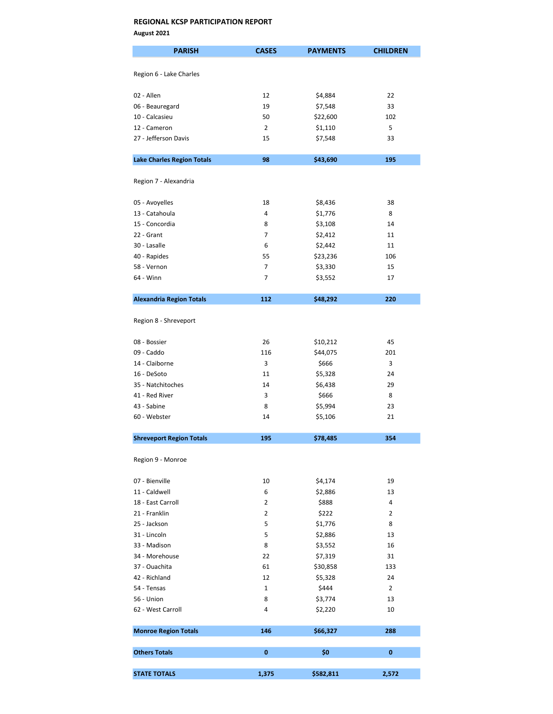August 2021

| <b>PARISH</b>                     | <b>CASES</b>   | <b>PAYMENTS</b> | <b>CHILDREN</b> |
|-----------------------------------|----------------|-----------------|-----------------|
|                                   |                |                 |                 |
| Region 6 - Lake Charles           |                |                 |                 |
| 02 - Allen                        | 12             | \$4,884         | 22              |
| 06 - Beauregard                   | 19             | \$7,548         | 33              |
| 10 - Calcasieu                    | 50             | \$22,600        | 102             |
| 12 - Cameron                      | $\overline{2}$ | \$1,110         | 5               |
| 27 - Jefferson Davis              | 15             | \$7,548         | 33              |
| <b>Lake Charles Region Totals</b> | 98             | \$43,690        | 195             |
|                                   |                |                 |                 |
| Region 7 - Alexandria             |                |                 |                 |
| 05 - Avoyelles                    | 18             | \$8,436         | 38              |
| 13 - Catahoula                    | 4              | \$1,776         | 8               |
| 15 - Concordia                    | 8              | \$3,108         | 14              |
| 22 - Grant                        | $\overline{7}$ | \$2,412         | 11              |
| 30 - Lasalle                      | 6              | \$2,442         | 11              |
| 40 - Rapides                      | 55             | \$23,236        | 106             |
| 58 - Vernon                       | $\overline{7}$ | \$3,330         | 15              |
| 64 - Winn                         | 7              | \$3,552         | 17              |
| <b>Alexandria Region Totals</b>   | 112            | \$48,292        | 220             |
|                                   |                |                 |                 |
| Region 8 - Shreveport             |                |                 |                 |
| 08 - Bossier                      | 26             | \$10,212        | 45              |
| 09 - Caddo                        | 116            | \$44,075        | 201             |
| 14 - Claiborne                    | 3              | \$666           | 3               |
| 16 - DeSoto                       | 11             | \$5,328         | 24              |
| 35 - Natchitoches                 | 14             | \$6,438         | 29              |
| 41 - Red River                    | 3              | \$666           | 8               |
| 43 - Sabine                       | 8              | \$5,994         | 23              |
| 60 - Webster                      | 14             | \$5,106         | 21              |
| <b>Shreveport Region Totals</b>   | 195            | \$78,485        | 354             |
|                                   |                |                 |                 |
| Region 9 - Monroe                 |                |                 |                 |
| 07 - Bienville                    | 10             | \$4,174         | 19              |
| 11 - Caldwell                     | 6              | \$2,886         | 13              |
| 18 - East Carroll                 | $\overline{2}$ | \$888           | 4               |
| 21 - Franklin                     | 2              | \$222           | 2               |
| 25 - Jackson                      | 5              | \$1,776         | 8               |
| 31 - Lincoln                      | 5              | \$2,886         | 13              |
| 33 - Madison                      | 8              | \$3,552         | 16              |
| 34 - Morehouse                    | 22             | \$7,319         | 31              |
| 37 - Ouachita                     | 61             | \$30,858        | 133             |
| 42 - Richland                     | 12             | \$5,328         | 24              |
| 54 - Tensas                       | $\mathbf{1}$   | \$444           | $\overline{2}$  |
| 56 - Union                        | 8              | \$3,774         | 13              |
| 62 - West Carroll                 | 4              | \$2,220         | 10              |
| <b>Monroe Region Totals</b>       | 146            | \$66,327        | 288             |
|                                   |                |                 |                 |
| <b>Others Totals</b>              | $\bf{0}$       | \$0             | $\mathbf{0}$    |
| <b>STATE TOTALS</b>               | 1,375          | \$582,811       | 2,572           |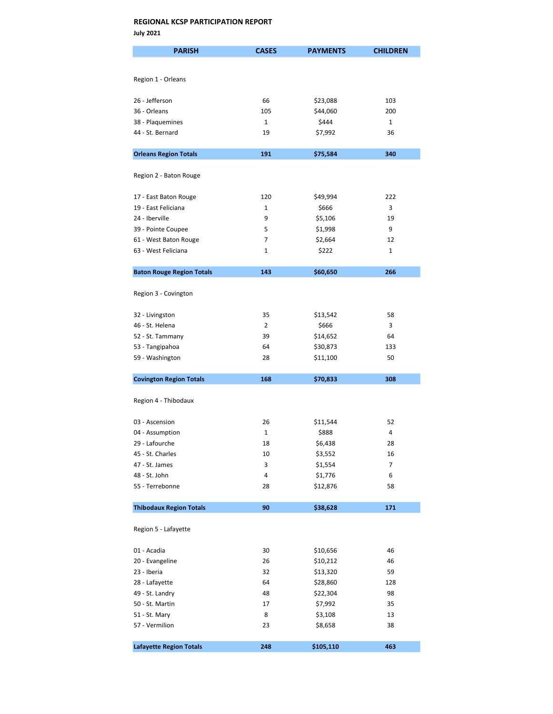| <b>PARISH</b>                                | <b>CASES</b> | <b>PAYMENTS</b>  | <b>CHILDREN</b> |
|----------------------------------------------|--------------|------------------|-----------------|
|                                              |              |                  |                 |
| Region 1 - Orleans                           |              |                  |                 |
|                                              |              |                  |                 |
| 26 - Jefferson                               | 66           | \$23,088         | 103             |
| 36 - Orleans                                 | 105          | \$44,060         | 200             |
| 38 - Plaquemines                             | 1            | \$444            | $\mathbf{1}$    |
| 44 - St. Bernard                             | 19           | \$7,992          | 36              |
| <b>Orleans Region Totals</b>                 | 191          | \$75,584         | 340             |
|                                              |              |                  |                 |
| Region 2 - Baton Rouge                       |              |                  |                 |
|                                              |              |                  |                 |
| 17 - East Baton Rouge                        | 120          | \$49,994         | 222             |
| 19 - East Feliciana                          | 1            | \$666            | 3               |
| 24 - Iberville                               | 9            | \$5,106          | 19              |
| 39 - Pointe Coupee                           | 5<br>7       | \$1,998          | 9<br>12         |
| 61 - West Baton Rouge<br>63 - West Feliciana | 1            | \$2,664<br>\$222 | $\mathbf{1}$    |
|                                              |              |                  |                 |
| <b>Baton Rouge Region Totals</b>             | 143          | \$60,650         | 266             |
|                                              |              |                  |                 |
| Region 3 - Covington                         |              |                  |                 |
| 32 - Livingston                              | 35           | \$13,542         | 58              |
| 46 - St. Helena                              | 2            | \$666            | 3               |
| 52 - St. Tammany                             | 39           | \$14,652         | 64              |
| 53 - Tangipahoa                              | 64           | \$30,873         | 133             |
| 59 - Washington                              | 28           | \$11,100         | 50              |
|                                              |              |                  |                 |
| <b>Covington Region Totals</b>               | 168          | \$70,833         | 308             |
| Region 4 - Thibodaux                         |              |                  |                 |
|                                              |              |                  |                 |
| 03 - Ascension                               | 26           | \$11,544         | 52              |
| 04 - Assumption                              | 1            | \$888            | 4               |
| 29 - Lafourche                               | 18           | \$6,438          | 28              |
| 45 - St. Charles                             | 10           | \$3,552          | 16              |
| 47 - St. James                               | 3            | \$1,554          | 7               |
| 48 - St. John                                | 4            | \$1,776          | 6               |
| 55 - Terrebonne                              | 28           | \$12,876         | 58              |
| <b>Thibodaux Region Totals</b>               | 90           | \$38,628         | 171             |
|                                              |              |                  |                 |
| Region 5 - Lafayette                         |              |                  |                 |
| 01 - Acadia                                  | 30           | \$10,656         | 46              |
| 20 - Evangeline                              | 26           | \$10,212         | 46              |
| 23 - Iberia                                  | 32           | \$13,320         | 59              |
| 28 - Lafayette                               | 64           | \$28,860         | 128             |
| 49 - St. Landry                              | 48           | \$22,304         | 98              |
| 50 - St. Martin                              | 17           | \$7,992          | 35              |
| 51 - St. Mary                                | 8            | \$3,108          | 13              |
| 57 - Vermilion                               | 23           | \$8,658          | 38              |
| <b>Lafayette Region Totals</b>               | 248          | \$105,110        | 463             |
|                                              |              |                  |                 |